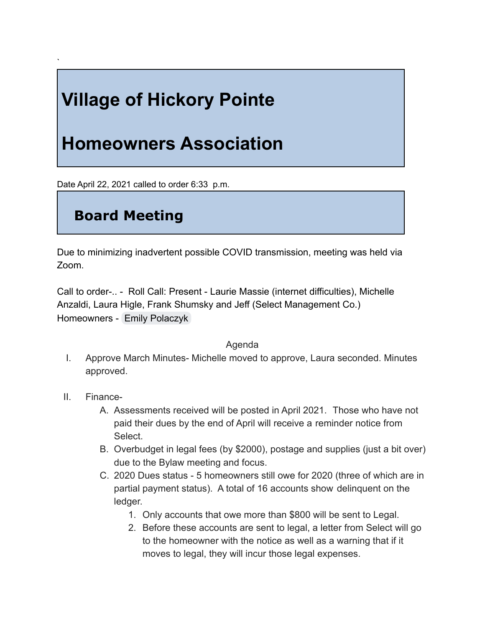# **Village of Hickory Pointe**

## **Homeowners Association**

Date April 22, 2021 called to order 6:33 p.m.

### **Board Meeting**

Due to minimizing inadvertent possible COVID transmission, meeting was held via Zoom.

Call to order-.. - Roll Call: Present - Laurie Massie (internet difficulties), Michelle Anzaldi, Laura Higle, Frank Shumsky and Jeff (Select Management Co.) Homeowners - [Emily Polaczyk](mailto:ebpolaczyk@gmail.com)

#### Agenda

- I. Approve March Minutes- Michelle moved to approve, Laura seconded. Minutes approved.
- II. Finance-

`

- A. Assessments received will be posted in April 2021. Those who have not paid their dues by the end of April will receive a reminder notice from Select.
- B. Overbudget in legal fees (by \$2000), postage and supplies (just a bit over) due to the Bylaw meeting and focus.
- C. 2020 Dues status 5 homeowners still owe for 2020 (three of which are in partial payment status). A total of 16 accounts show delinquent on the ledger.
	- 1. Only accounts that owe more than \$800 will be sent to Legal.
	- 2. Before these accounts are sent to legal, a letter from Select will go to the homeowner with the notice as well as a warning that if it moves to legal, they will incur those legal expenses.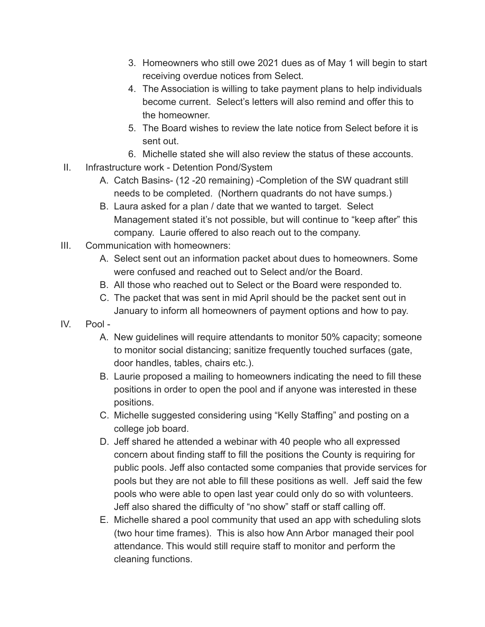- 3. Homeowners who still owe 2021 dues as of May 1 will begin to start receiving overdue notices from Select.
- 4. The Association is willing to take payment plans to help individuals become current. Select's letters will also remind and offer this to the homeowner.
- 5. The Board wishes to review the late notice from Select before it is sent out.
- 6. Michelle stated she will also review the status of these accounts.
- II. Infrastructure work Detention Pond/System
	- A. Catch Basins- (12 -20 remaining) -Completion of the SW quadrant still needs to be completed. (Northern quadrants do not have sumps.)
	- B. Laura asked for a plan / date that we wanted to target. Select Management stated it's not possible, but will continue to "keep after" this company. Laurie offered to also reach out to the company.
- III. Communication with homeowners:
	- A. Select sent out an information packet about dues to homeowners. Some were confused and reached out to Select and/or the Board.
	- B. All those who reached out to Select or the Board were responded to.
	- C. The packet that was sent in mid April should be the packet sent out in January to inform all homeowners of payment options and how to pay.
- IV. Pool
	- A. New guidelines will require attendants to monitor 50% capacity; someone to monitor social distancing; sanitize frequently touched surfaces (gate, door handles, tables, chairs etc.).
	- B. Laurie proposed a mailing to homeowners indicating the need to fill these positions in order to open the pool and if anyone was interested in these positions.
	- C. Michelle suggested considering using "Kelly Staffing" and posting on a college job board.
	- D. Jeff shared he attended a webinar with 40 people who all expressed concern about finding staff to fill the positions the County is requiring for public pools. Jeff also contacted some companies that provide services for pools but they are not able to fill these positions as well. Jeff said the few pools who were able to open last year could only do so with volunteers. Jeff also shared the difficulty of "no show" staff or staff calling off.
	- E. Michelle shared a pool community that used an app with scheduling slots (two hour time frames). This is also how Ann Arbor managed their pool attendance. This would still require staff to monitor and perform the cleaning functions.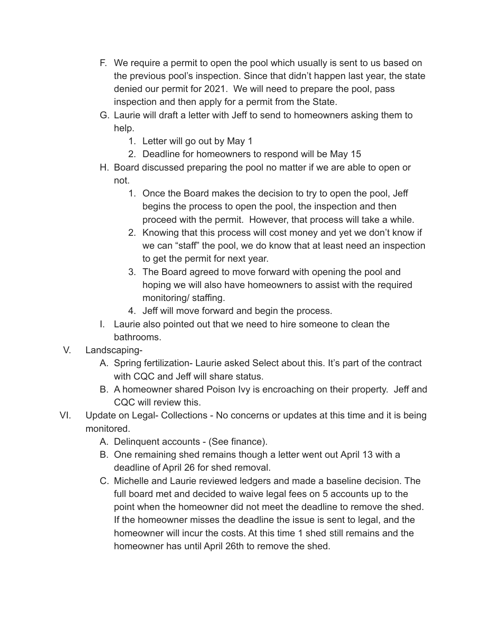- F. We require a permit to open the pool which usually is sent to us based on the previous pool's inspection. Since that didn't happen last year, the state denied our permit for 2021. We will need to prepare the pool, pass inspection and then apply for a permit from the State.
- G. Laurie will draft a letter with Jeff to send to homeowners asking them to help.
	- 1. Letter will go out by May 1
	- 2. Deadline for homeowners to respond will be May 15
- H. Board discussed preparing the pool no matter if we are able to open or not.
	- 1. Once the Board makes the decision to try to open the pool, Jeff begins the process to open the pool, the inspection and then proceed with the permit. However, that process will take a while.
	- 2. Knowing that this process will cost money and yet we don't know if we can "staff" the pool, we do know that at least need an inspection to get the permit for next year.
	- 3. The Board agreed to move forward with opening the pool and hoping we will also have homeowners to assist with the required monitoring/ staffing.
	- 4. Jeff will move forward and begin the process.
- I. Laurie also pointed out that we need to hire someone to clean the bathrooms.
- V. Landscaping-
	- A. Spring fertilization- Laurie asked Select about this. It's part of the contract with CQC and Jeff will share status.
	- B. A homeowner shared Poison Ivy is encroaching on their property. Jeff and CQC will review this.
- VI. Update on Legal- Collections No concerns or updates at this time and it is being monitored.
	- A. Delinquent accounts (See finance).
	- B. One remaining shed remains though a letter went out April 13 with a deadline of April 26 for shed removal.
	- C. Michelle and Laurie reviewed ledgers and made a baseline decision. The full board met and decided to waive legal fees on 5 accounts up to the point when the homeowner did not meet the deadline to remove the shed. If the homeowner misses the deadline the issue is sent to legal, and the homeowner will incur the costs. At this time 1 shed still remains and the homeowner has until April 26th to remove the shed.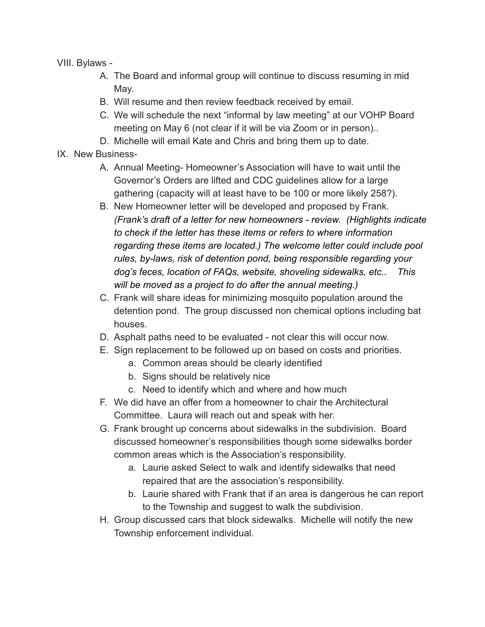VIII. Bylaws -

- A. The Board and informal group will continue to discuss resuming in mid May.
- B. Will resume and then review feedback received by email.
- C. We will schedule the next "informal by law meeting" at our VOHP Board meeting on May 6 (not clear if it will be via Zoom or in person)..
- D. Michelle will email Kate and Chris and bring them up to date.
- IX. New Business-
	- A. Annual Meeting- Homeowner's Association will have to wait until the Governor's Orders are lifted and CDC guidelines allow for a large gathering (capacity will at least have to be 100 or more likely 258?).
	- B. New Homeowner letter will be developed and proposed by Frank. *(Frank's draft of a letter for new homeowners - review. (Highlights indicate to check if the letter has these items or refers to where information regarding these items are located.) The welcome letter could include pool rules, by-laws, risk of detention pond, being responsible regarding your dog's feces, location of FAQs, website, shoveling sidewalks, etc.. This will be moved as a project to do after the annual meeting.)*
	- C. Frank will share ideas for minimizing mosquito population around the detention pond. The group discussed non chemical options including bat houses.
	- D. Asphalt paths need to be evaluated not clear this will occur now.
	- E. Sign replacement to be followed up on based on costs and priorities.
		- a. Common areas should be clearly identified
		- b. Signs should be relatively nice
		- c. Need to identify which and where and how much
	- F. We did have an offer from a homeowner to chair the Architectural Committee. Laura will reach out and speak with her.
	- G. Frank brought up concerns about sidewalks in the subdivision. Board discussed homeowner's responsibilities though some sidewalks border common areas which is the Association's responsibility.
		- a. Laurie asked Select to walk and identify sidewalks that need repaired that are the association's responsibility.
		- b. Laurie shared with Frank that if an area is dangerous he can report to the Township and suggest to walk the subdivision.
	- H. Group discussed cars that block sidewalks. Michelle will notify the new Township enforcement individual.